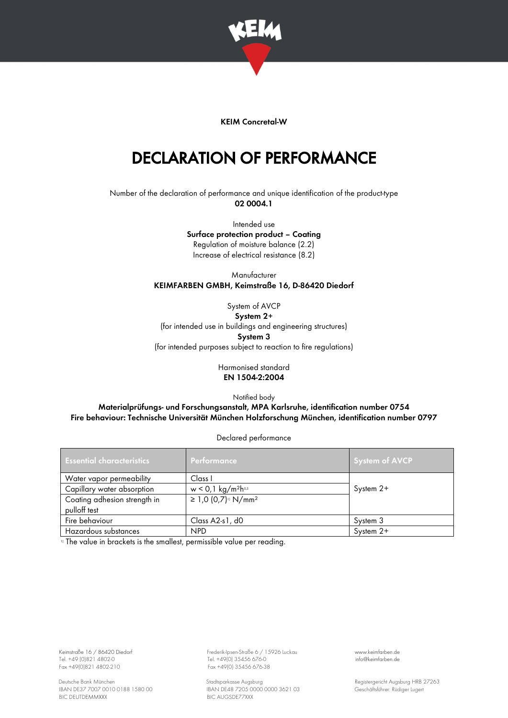

## KEIM Concretal-W

## DECLARATION OF PERFORMANCE

Number of the declaration of performance and unique identification of the product-type 02 0004.1

> Intended use Surface protection product – Coating Regulation of moisture balance (2.2) Increase of electrical resistance (8.2)

Manufacturer KEIMFARBEN GMBH, Keimstraße 16, D-86420 Diedorf

System of AVCP System 2+ (for intended use in buildings and engineering structures) System 3 (for intended purposes subject to reaction to fire regulations)

## Harmonised standard EN 1504-2:2004

Notified body

Materialprüfungs- und Forschungsanstalt, MPA Karlsruhe, identification number 0754 Fire behaviour: Technische Universität München Holzforschung München, identification number 0797

Declared performance

| <b>Essential characteristics</b> | Performance                                  | System of AVCP |
|----------------------------------|----------------------------------------------|----------------|
| Water vapor permeability         | Class I                                      |                |
| Capillary water absorption       | $w < 0.1$ kg/m <sup>2</sup> h <sup>0.5</sup> | System 2+      |
| Coating adhesion strength in     | ≥ 1,0 (0,7) <sup>11</sup> N/mm <sup>2</sup>  |                |
| pulloff test                     |                                              |                |
| Fire behaviour                   | Class A2-s1, d0                              | System 3       |
| Hazardous substances             | NPD <sub></sub>                              | System 2+      |

<sup>1)</sup> The value in brackets is the smallest, permissible value per reading.

Tel. +49 (0)821 4802-0 Tel. +49 (0)821 4802-0 Tel. +49 (0)821 4802-0 Tel. +49 (0) 35456 676-0 Fax +49 (0) 35456 676-0

Keimstraße 16 / 86420 Diedorf Frederik-Ipsen-Straße 6 / 15926 Luckau [www.keimfarben.de](http://www.keimfarben.de/)  $Fax + 49(0)35456676-38$ 

Deutsche Bank München Stadtsparkasse Augsburg (1990) Stadtsparkasse Augsburg (1990) Registergericht Augsburg HRB 27263<br>RAN DE37 7007 0010 0188 1580 00 (1990) BAN DE48 7205 0000 0000 3621 03 (1991) Geschäftsführer: Rüdiger IBAN DE48 7205 0000 0000 3621 03<br>BIC AUGSDE77XXX GESCHÄFTSFÜRER 1580 GESChäftsführer: Rüdiger Lugert